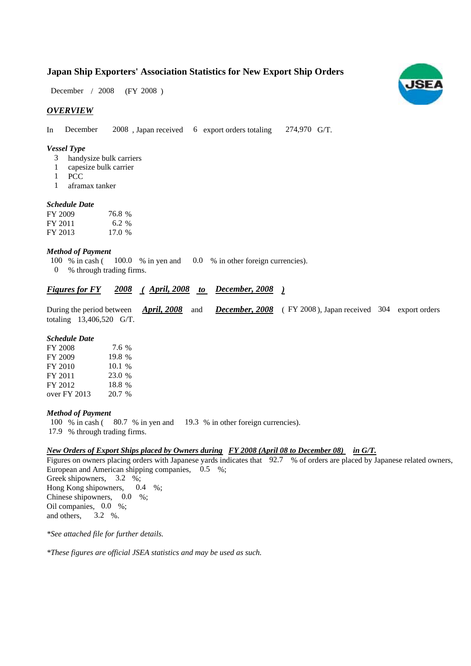# **Japan Ship Exporters' Association Statistics for New Export Ship Orders**

 $/ 2008$  (FY 2008) December / 2008

### *OVERVIEW*

In December 2008, Japan received 6 export orders totaling  $274,970$  G/T.

#### *Vessel Type*

- handysize bulk carriers 3
- capesize bulk carrier 1
- PCC 1
- aframax tanker 1

### *Schedule Date*

| FY 2009 | 76.8 % |
|---------|--------|
| FY 2011 | 6.2 %  |
| FY 2013 | 17.0 % |

#### *Method of Payment*

- 100 % in cash ( 100.0 % in yen and 0.0 % in other foreign currencies).
- % through trading firms. 0

## *<u><i>Figures for FY 2008 (April, 2008 to December, 2008)*</u>

|                          |  | During the period between <i>April, 2008</i> and <i>December, 2008</i> (FY 2008), Japan received 304 export orders |  |
|--------------------------|--|--------------------------------------------------------------------------------------------------------------------|--|
| totaling 13,406,520 G/T. |  |                                                                                                                    |  |

### *Schedule Date*

| FY 2008      | 7.6 %  |
|--------------|--------|
| FY 2009      | 19.8 % |
| FY 2010      | 10.1%  |
| FY 2011      | 23.0 % |
| FY 2012      | 18.8 % |
| over FY 2013 | 20.7 % |

#### *Method of Payment*

- 100 % in cash (80.7 % in yen and 19.3 % in other foreign currencies).
- % through trading firms. 17.9

### *New Orders of Export Ships placed by Owners during in G/T. FY 2008 (April 08 to December 08)*

Figures on owners placing orders with Japanese yards indicates that 92.7 % of orders are placed by Japanese related owners, European and American shipping companies,  $0.5\%$ ; Greek shipowners, 3.2 %; Hong Kong shipowners,  $0.4\%$ ; Chinese shipowners,  $0.0\%$ ; Oil companies,  $0.0\%$ ; and others, 0.4 3.2 %.

*\*See attached file for further details.*

*\*These figures are official JSEA statistics and may be used as such.*

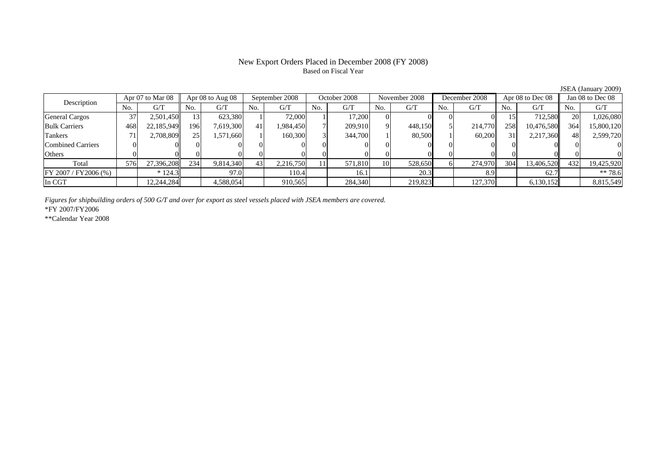# Based on Fiscal Year

No. G/T No. G/T No. G/T No. G/T No. G/T No. G/T No. G/T No. G/TGeneral Cargos ( 37 2,501,450 13 623,380 1 72,000 1 17,200 0 0 0 0 15 712,580 20 1,026,080 Bulk Carriers | 468| 22,185,949|| 196| 7,619,300| 41| 1,984,450| 7| 209,910| 9| 448,150| 5| 214,770| 258| 10,476,580|| 364| 15,800,120 Tankers | 71| 2,708,809|| 25| 1,571,660| 1| 160,300| 3| 344,700| 1| 80,500| 1| 60,200| 31| 2,217,360|| 48| 2,599,720 Combined Carriers 0 0 0 0 0 0 0 0 0 0 0 0 0 0 0 0Others 0 0 0 0 0 0 0 0 0 0 0 0 0 0 0 0 $\mathbf{0}$ Total 576 27,396,208 234 9,814,340 43 2,216,750 11 571,810 10 528,650 6 274,970 304 13,406,520 432 19,425,920 FY 2007 / FY2006 (%) \* 124.3 97.0 110.4 16.1 20.3 8.9 62.7 \*\* 78.6 In CGT | | 12,244,284| | 4,588,054| | 910,565| | 284,340| | 219,823| | 127,370| | 6,130,152|| | 8,815,549 October 2008Description Apr 07 to Mar 08 Apr 08 to Aug 08 September 2008 October 2008<br>No. 6/T No. 6/T No. 6/T No. 6/T No. 6/T Apr 08 to Aug 08 September 2008 October 2008 November 2008 December 2008 Apr 08 to Dec 08 Jan 08 to Dec 08

*Figures for shipbuilding orders of 500 G/T and over for export as steel vessels placed with JSEA members are covered.*

\*FY 2007/FY2006

\*\*Calendar Year 2008

JSEA (January 2009)

# New Export Orders Placed in December 2008 (FY 2008)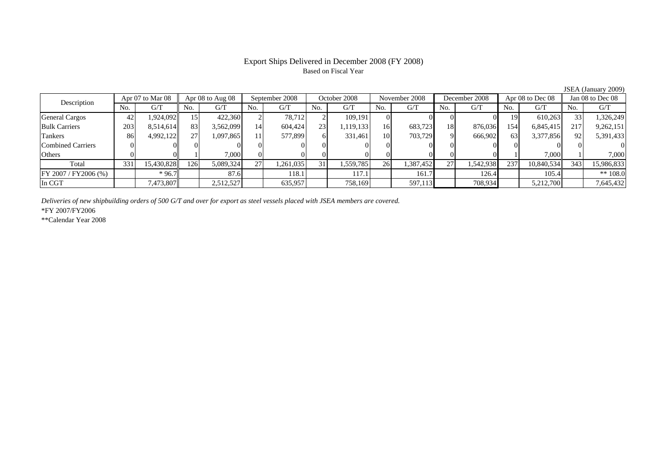# Based on Fiscal Year

No. I G/T II No. I G/T II No. I G/T II No. I G/T G/T II No. I G/T II No. I G/T II No. I G/T II No. I G/T II No  $G/T$ General Cargos ( 42 1,924,092 15 422,360 2 78,712 2 109,191 0 0 0 0 0 19 610,263 33 1,326,249 Bulk Carriers 203 8,514,614 83 3,562,099 14 604,424 23 1,119,133 16 683,723 18 876,036 154 6,845,415 217 9,262,151 Tankers | 86 4,992,122 27 1,097,865 11 577,899 6 331,461 10 703,729 9 666,902 63 3,377,856 92 5,391,433 Combined Carriers 0 0 0 0 0 0 0 0 0 0 0 0 0 0 0 0Others 0 0 1 7,000 0 0 0 0 0 0 0 0 1 7,000 1 7,000 Total 331 15,430,828 126 5,089,324 27 1,261,035 31 1,559,785 26 1,387,452 27 1,542,938 237 10,840,534 343 15,986,833 FY 2007 / FY2006 (%) \* 96.7 87.6 118.1 117.1 161.7 126.4 105.4 \*\* 108.0 In CGT | | 7,473,807 || | 2,512,527 | | 635,957 | | 758,169 | | 597,113 | | 708,934 | | 5,212,700 | | 7,645,432 September 2008 October 2008 Description Apr 07 to Mar 08 Apr 08 to Aug 08 September 2008 October 2008 November 2008 December 2008 Apr 08 to Dec 08 Jan 08 to Dec 08

*Deliveries of new shipbuilding orders of 500 G/T and over for export as steel vessels placed with JSEA members are covered.*

\*FY 2007/FY2006

\*\*Calendar Year 2008

JSEA (January 2009)

# Export Ships Delivered in December 2008 (FY 2008)